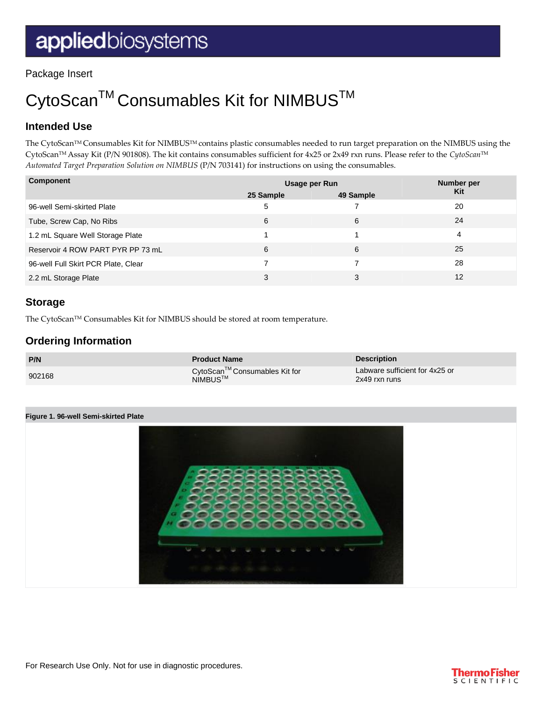Package Insert

# CytoScan<sup>™</sup> Consumables Kit for NIMBUS<sup>™</sup>

# **Intended Use**

The CytoScanTM Consumables Kit for NIMBUSTM contains plastic consumables needed to run target preparation on the NIMBUS using the CytoScanTM Assay Kit (P/N 901808). The kit contains consumables sufficient for 4x25 or 2x49 rxn runs. Please refer to the *CytoScan*TM *Automated Target Preparation Solution on NIMBUS* (P/N 703141) for instructions on using the consumables.

| Component                           | Usage per Run |           | Number per |
|-------------------------------------|---------------|-----------|------------|
|                                     | 25 Sample     | 49 Sample | <b>Kit</b> |
| 96-well Semi-skirted Plate          | 5             |           | 20         |
| Tube, Screw Cap, No Ribs            | 6             | 6         | 24         |
| 1.2 mL Square Well Storage Plate    |               |           | 4          |
| Reservoir 4 ROW PART PYR PP 73 mL   | 6             | 6         | 25         |
| 96-well Full Skirt PCR Plate, Clear |               |           | 28         |
| 2.2 mL Storage Plate                | 3             | 3         | 12         |

## **Storage**

The CytoScan™ Consumables Kit for NIMBUS should be stored at room temperature.

## **Ordering Information**

| P/N    | <b>Product Name</b>                                 | <b>Description</b>                              |
|--------|-----------------------------------------------------|-------------------------------------------------|
| 902168 | CytoScan™Consumables Kit for<br>NIMBUS <sup>™</sup> | Labware sufficient for 4x25 or<br>2x49 rxn runs |

#### **Figure 1. 96-well Semi-skirted Plate**



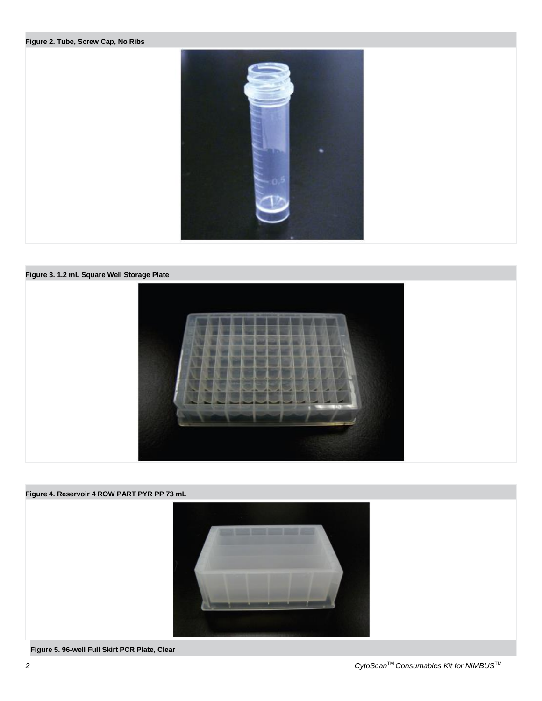#### **Figure 2. Tube, Screw Cap, No Ribs**







**Figure 5. 96-well Full Skirt PCR Plate, Clear**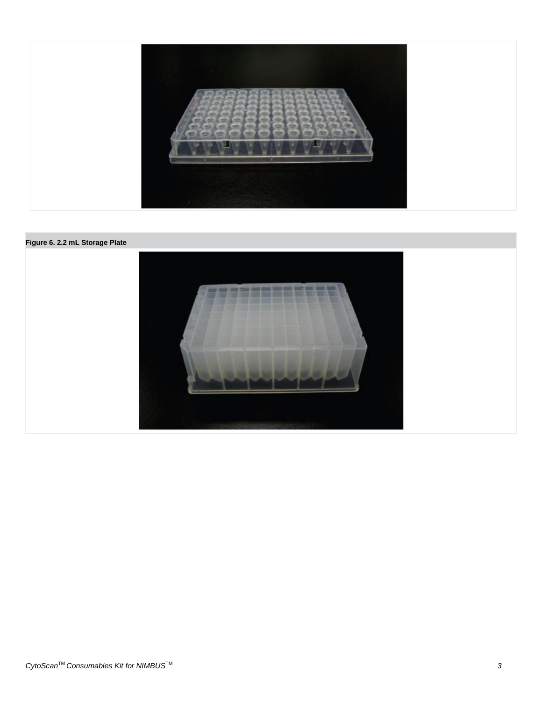

#### **Figure 6. 2.2 mL Storage Plate**